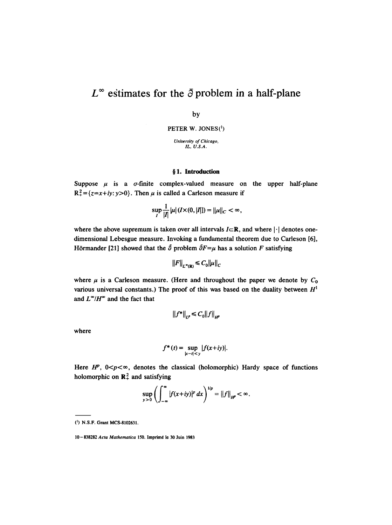# $L^{\infty}$  estimates for the  $\bar{\partial}$  problem in a half-plane

by

PETER W. JONES<sup>(1</sup>)

*University of Chicago, IL, U.S.A.* 

## **w 1. Introduction**

Suppose  $\mu$  is a  $\sigma$ -finite complex-valued measure on the upper half-plane  $R_+^2 = \{z = x + iy: y > 0\}$ . Then  $\mu$  is called a Carleson measure if

$$
\sup_{I} \frac{1}{|I|} |\mu|(I \times (0, |I|)) = ||\mu||_{C} < \infty,
$$

where the above supremum is taken over all intervals  $I\subset\mathbb{R}$ , and where  $|\cdot|$  denotes onedimensional Lebesgue measure. Invoking a fundamental theorem due to Carleson [6], Hörmander [21] showed that the  $\tilde{\partial}$  problem  $\tilde{\partial}F=\mu$  has a solution F satisfying

$$
||F||_{L^{\infty}(\mathbb{R})} \leq C_0 ||\mu||_C
$$

where  $\mu$  is a Carleson measure. (Here and throughout the paper we denote by  $C_0$ various universal constants.) The proof of this was based on the duality between  $H<sup>1</sup>$ and  $L^{\infty}/H^{\infty}$  and the fact that

$$
\|f^*\|_{L^p} \le C_0 \|f\|_{H^p}
$$

where

$$
f^*(t) = \sup_{|x-t|< y} |f(x+iy)|.
$$

Here  $H^p$ ,  $0 < p < \infty$ , denotes the classical (holomorphic) Hardy space of functions holomorphic on  $\mathbb{R}^2_+$  and satisfying

$$
\sup_{y>0}\left(\int_{-\infty}^{\infty}|f(x+iy)|^p\,dx\right)^{1/p}=\|f\|_{H^p}<\infty.
$$

<sup>(~)</sup> N.S.F. Grant MCS-8102631.

<sup>10-838282</sup> Acta Mathematica 150. Imprimé le 30 Juin 1983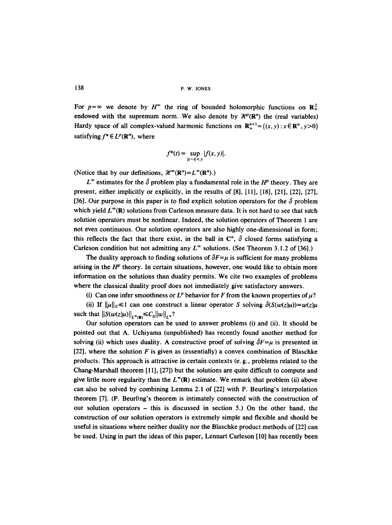138 **p. w. JONES** 

For  $p=\infty$  we denote by  $H^{\infty}$  the ring of bounded holomorphic functions on  $\mathbb{R}^2$ . endowed with the supremum norm. We also denote by  $\mathcal{H}^p(\mathbb{R}^n)$  the (real variables) Hardy space of all complex-valued harmonic functions on  $\mathbf{R}^{n+1}_{+} = \{(x, y) : x \in \mathbf{R}^n, y > 0\}$ satisfying  $f^* \in L^p(\mathbb{R}^n)$ , where

$$
f^*(t) = \sup_{|x-t| < y} |f(x, y)|.
$$

(Notice that by our definitions,  $\mathcal{H}^{\infty}(\mathbb{R}^{n})=L^{\infty}(\mathbb{R}^{n})$ .)

 $L^{\infty}$  estimates for the  $\bar{\partial}$  problem play a fundamental role in the H<sup>p</sup> theory. They are present, either implicitly or explicitly, in the results of [8], [11], [18], [21], [22], [27], [36]. Our purpose in this paper is to find explicit solution operators for the  $\delta$  problem which yield  $L^{\infty}(\mathbb{R})$  solutions from Carleson measure data. It is not hard to see that such solution operators must be nonlinear. Indeed, the solution operators of Theorem 1 are not even continuous. Our solution operators are also highly one-dimensional in form; this reflects the fact that there exist, in the ball in  $\mathbb{C}^n$ ,  $\overline{\partial}$  closed forms satisfying a Carleson condition but not admitting any  $L^{\infty}$  solutions. (See Theorem 3.1.2 of [36].)

The duality approach to finding solutions of  $\overline{\partial}F=\mu$  is sufficient for many problems arising in the  $H^p$  theory. In certain situations, however, one would like to obtain more information on the solutions than duality permits. We cite two examples of problems where the classical duality proof does not immediately give satisfactory answers.

(i) Can one infer smoothness or  $L^p$  behavior for F from the known properties of  $\mu$ ?

(ii) If  $\|\mu\|_C \leq 1$  can one construct a linear operator S solving  $\bar{\partial}(S(w(z)\mu))=w(z)\mu$ such that  $||S(w(z)\mu)||_{L^{\infty}(\mathbb{R})} \leq C_0 ||w||_{L^{\infty}}$ ?

Our solution operators can be used to answer problems (i) and (ii). It should be pointed out that A. Uchiyama (unpublished) has recently found another method for solving (ii) which uses duality. A constructive proof of solving  $\delta F = \mu$  is presented in [22], where the solution F is given as (essentially) a convex combination of Blaschke products. This approach is attractive in certain contexts (e. g., problems related to the Chang-Marshall theorem [1 I], [27]) but the solutions are quite difficult to compute and give little more regularity than the  $L^{\infty}(\mathbb{R})$  estimate. We remark that problem (ii) above can also be solved by combining Lemma 2.1 of [22] with P. Beurling's interpolation theorem [7]. (P. Beurling's theorem is intimately connected with the construction of our solution operators - this is discussed in section 5.) On the other hand, the construction of our solution operators is extremely simple and flexible and should be useful in situations where neither duality nor the Blaschke product methods of [22] can be used. Using in part the ideas of this paper, Lennart Carleson [10] has recently been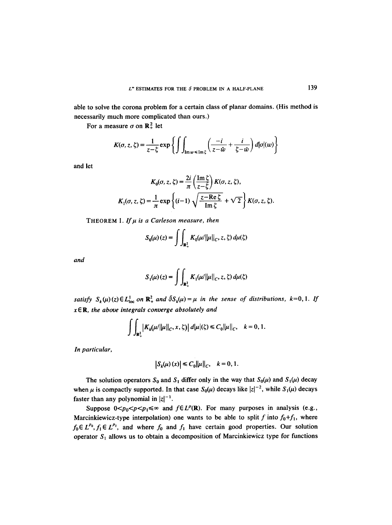able to solve the corona problem for a certain class of planar domains. (His method is necessarily much more complicated than ours.)

For a measure  $\sigma$  on  $\mathbb{R}^2$  let

$$
K(\sigma, z, \zeta) = \frac{1}{z - \zeta} \exp \left\{ \int \int_{\text{Im}\,w \leq \text{Im}\, \zeta} \left( \frac{-i}{z - \bar{w}} + \frac{i}{\zeta - \bar{w}} \right) d|\sigma| (w) \right\}
$$

and let

$$
K_0(\sigma, z, \zeta) = \frac{2i}{\pi} \left( \frac{\operatorname{Im} \zeta}{z - \overline{\zeta}} \right) K(\sigma, z, \zeta),
$$
  

$$
K_1(\sigma, z, \zeta) = \frac{1}{\pi} \exp \left\{ (i - 1) \sqrt{\frac{z - \operatorname{Re} \zeta}{\operatorname{Im} \zeta}} + \sqrt{2} \right\} K(\sigma, z, \zeta).
$$

THEOREM 1. If  $\mu$  is a Carleson measure, then

$$
S_0(\mu)(z) = \int \int_{\mathbf{R}_+^2} K_0(\mu/||\mu||_C, z, \zeta) d\mu(\zeta)
$$

*and* 

$$
S_1(\mu)(z) = \int \int_{\mathbf{R}_+^2} K_1(\mu/\|\mu\|_C, z, \zeta) d\mu(\zeta)
$$

*satisfy*  $S_k(\mu)(z) \in L^1_{loc}$  on  $\mathbb{R}^2_+$  and  $\partial S_k(\mu) = \mu$  in the sense of distributions,  $k=0,1$ . If *x E R, the above integrals converge absolutely and* 

$$
\int \int_{\mathbf{R}_{+}^{2}} |K_{k}(\mu/||\mu||_{C}, x, \zeta)| d|\mu|(\zeta) \leq C_{0} ||\mu||_{C}, \quad k = 0, 1.
$$

*In particular,* 

$$
\left|S_k(\mu)(x)\right| \leq C_0 \|\mu\|_C, \quad k = 0, 1.
$$

The solution operators  $S_0$  and  $S_1$  differ only in the way that  $S_0(\mu)$  and  $S_1(\mu)$  decay when  $\mu$  is compactly supported. In that case  $S_0(\mu)$  decays like  $|z|^{-2}$ , while  $S_1(\mu)$  decays faster than any polynomial in  $|z|^{-1}$ .

Suppose  $0 < p_0 < p < p_1 \le \infty$  and  $f \in L^p(\mathbb{R})$ . For many purposes in analysis (e.g., Marcinkiewicz-type interpolation) one wants to be able to split f into  $f_0+f_1$ , where  $f_0 \in L^{p_0}, f_1 \in L^{p_1}$ , and where  $f_0$  and  $f_1$  have certain good properties. Our solution operator  $S_1$  allows us to obtain a decomposition of Marcinkiewicz type for functions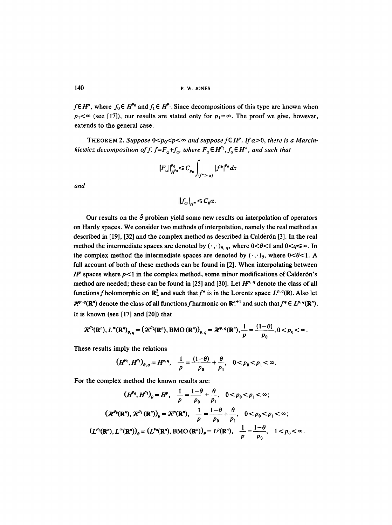140 **p. w. JONES** 

 $f \in H^p$ , where  $f_0 \in H^{p_0}$  and  $f_1 \in H^{p_1}$ . Since decompositions of this type are known when  $p_1 < \infty$  (see [17]), our results are stated only for  $p_1 = \infty$ . The proof we give, however, extends to the general case.

THEOREM 2. Suppose  $0 \le p_0 \le p \le \infty$  and suppose  $f \in H^p$ . If  $\alpha > 0$ , there is a Marcin*kiewicz decomposition of f, f=F<sub>a</sub>+f<sub>a</sub>, where*  $F_a \in H^{p_0}$ *,*  $f_a \in H^{\infty}$ *, and such that* 

$$
||F_a||_{H^{p_0}}^{p_0} \leq C_{p_0} \int_{(f^* > a)} |f^*|^{p_0} \, dx
$$

*and* 

$$
\|f_a\|_{H^{\infty}} \leq C_0 \alpha.
$$

Our results on the  $\tilde{\partial}$  problem yield some new results on interpolation of operators on Hardy spaces. We consider two methods of interpolation, namely the real method as described in [19], [32] and the complex method as described in Calder6n [3], In the real method the intermediate spaces are denoted by  $(\cdot, \cdot)_{\theta, q}$ , where  $0 < \theta < 1$  and  $0 < q \le \infty$ . In the complex method the intermediate spaces are denoted by  $(\cdot, \cdot)_{\theta}$ , where  $0<\theta<1$ . A full account of both of these methods can be found in [2]. When interpolating between  $H^p$  spaces where  $p<1$  in the complex method, some minor modifications of Calderón's method are needed; these can be found in [25] and [30]. Let  $H^{p, q}$  denote the class of all functions f holomorphic on  $\mathbb{R}^2$  and such that  $f^*$  is in the Lorentz space  $L^{p,q}(\mathbb{R})$ . Also let  $\mathcal{H}^{p, q}(\mathbb{R}^n)$  denote the class of all functions f harmonic on  $\mathbb{R}^{n+1}_+$  and such that  $f^* \in L^{p, q}(\mathbb{R}^n)$ . It is known (see [17] and [20]) that

$$
\mathcal{H}^{p_0}(\mathbf{R}^n), L^{\infty}(\mathbf{R}^n)_{\theta,q} = (\mathcal{H}^{p_0}(\mathbf{R}^n), \operatorname{BMO}(\mathbf{R}^n))_{\theta,q} = \mathcal{H}^{p,q}(\mathbf{R}^n), \frac{1}{p} = \frac{(1-\theta)}{p_0}, 0 < p_0 < \infty.
$$

These results imply the relations

$$
(H^{p_0}, H^{p_1})_{\theta, q} = H^{p, q}, \quad \frac{1}{p} = \frac{(1-\theta)}{p_0} + \frac{\theta}{p_1}, \quad 0 < p_0 < p_1 < \infty.
$$

For the complex method the known results are:

$$
(H^{p_0}, H^{p_1})_{\theta} = H^p, \quad \frac{1}{p} = \frac{1-\theta}{p_0} + \frac{\theta}{p_1}, \quad 0 < p_0 < p_1 < \infty;
$$
\n
$$
(\mathcal{H}^{p_0}(\mathbf{R}^n), \mathcal{H}^{p_1}(\mathbf{R}^n))_{\theta} = \mathcal{H}^p(\mathbf{R}^n), \quad \frac{1}{p} = \frac{1-\theta}{p_0} + \frac{\theta}{p_1}, \quad 0 < p_0 < p_1 < \infty;
$$
\n
$$
(L^{p_0}(\mathbf{R}^n), L^{\infty}(\mathbf{R}^n))_{\theta} = (L^{p_0}(\mathbf{R}^n), \text{BMO}(\mathbf{R}^n))_{\theta} = L^p(\mathbf{R}^n), \quad \frac{1}{p} = \frac{1-\theta}{p_0}, \quad 1 < p_0 < \infty.
$$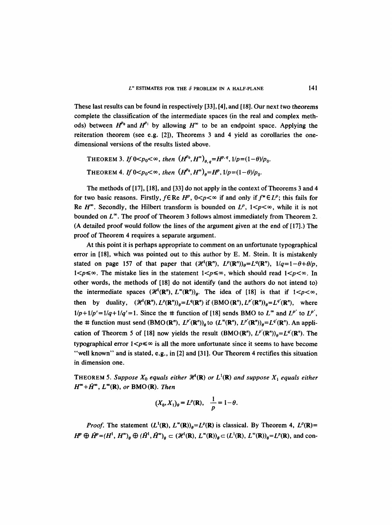These last results can be found in respectively [33], [4], and [18]. Our next two theorems complete the classification of the intermediate spaces (in the real and complex methods) between  $H^{p_0}$  and  $H^{p_1}$  by allowing  $H^{\infty}$  to be an endpoint space. Applying the reiteration theorem (see e.g. [2]), Theorems 3 and 4 yield as corollaries the onedimensional versions of the results listed above.

```
THEOREM 3. If 0 < p_0 < \infty, then (H^{p_0}, H^{\infty})_{\theta, \theta} = H^{p,q}, 1/p = (1-\theta)/p_0.
THEOREM 4. If 0 < p_0 < \infty, then (H^{p_0}, H^{\infty})_a = H^p, 1/p = (1-\theta)/p_0.
```
The methods of [17], [18], and [33] do not apply in the context of Theorems 3 and 4 for two basic reasons. Firstly,  $f \in \mathbb{R}e H^p$ ,  $0 \leq p \leq \infty$  if and only if  $f^* \in L^p$ ; this fails for Re  $H^{\infty}$ . Secondly, the Hilbert transform is bounded on  $L^p$ ,  $1 < p < \infty$ , while it is not bounded on  $L^{\infty}$ . The proof of Theorem 3 follows almost immediately from Theorem 2. (A detailed proof would follow the lines of the argument given at the end of [17].) The proof of Theorem 4 requires a separate argument.

At this point it is perhaps appropriate to comment on an unfortunate typographical error in [18], which was pointed out to this author by E. M. Stein. It is mistakenly stated on page 157 of that paper that  $(\mathcal{H}^1(\mathbf{R}^n), L^p(\mathbf{R}^n))_0 = L^q(\mathbf{R}^n), 1/q=1-\theta+\theta/p$ ,  $1 < p \leq \infty$ . The mistake lies in the statement  $1 < p \leq \infty$ , which should read  $1 < p < \infty$ . In other words, the methods of [18] do not identify (and the authors do not intend to) the intermediate spaces  $(\mathcal{H}^1(\mathbf{R}^n), L^{\infty}(\mathbf{R}^n))_q$ . The idea of [18] is that if  $1 < p < \infty$ , then by duality,  $({\mathcal{H}}^1(\mathbf{R}^n), L^p(\mathbf{R}^n))_0 = L^q(\mathbf{R}^n)$  if  $(BMO(\mathbf{R}^n), L^{p'}(\mathbf{R}^n))_0 = L^{q'}(\mathbf{R}^n)$ , where  $1/p+1/p'=1/q+1/q'=1$ . Since the # function of [18] sends BMO to  $L^{\infty}$  and  $L^{p'}$  to  $L^{p'}$ , the # function must send  $(BMO (R^n), L^{p'}(R^n))_q$  to  $(L^{\infty}(R^n), L^{p'}(R^n))_q = L^{q'}(R^n)$ . An application of Theorem 5 of [18] now yields the result  $(BMO(R^n), L^{p'}(R^n))_{a}=L^{q'}(R^n)$ . The typographical error  $1 < p \leq \infty$  is all the more unfortunate since it seems to have become "well known" and is stated, e.g., in [2] and [31]. Our Theorem 4 rectifies this situation in dimension one.

**THEOREM 5. Suppose**  $X_0$  **equals either**  $\mathcal{H}^1(\mathbf{R})$  **or**  $L^1(\mathbf{R})$  **and suppose**  $X_1$  **equals either**  $H^{\infty} + \tilde{H}^{\infty}$ ,  $L^{\infty}(\mathbb{R})$ , or BMO(R). Then

$$
(X_0, X_1)_{\theta} = L^p(\mathbf{R}), \quad \frac{1}{p} = 1 - \theta.
$$

*Proof.* The statement  $(L^1(\mathbf{R}), L^{\infty}(\mathbf{R}))_{\theta} = L^p(\mathbf{R})$  is classical. By Theorem 4,  $L^p(\mathbf{R}) =$  $H^p \oplus \tilde{H}^p = (H^1, H^{\infty})_{\theta} \oplus (\tilde{H}^1, \tilde{H}^{\infty})_{\theta} \subset (\mathcal{H}^1(\mathbb{R}), L^{\infty}(\mathbb{R}))_{\theta} \subset (L^1(\mathbb{R}), L^{\infty}(\mathbb{R}))_{\theta} = L^p(\mathbb{R})$ , and con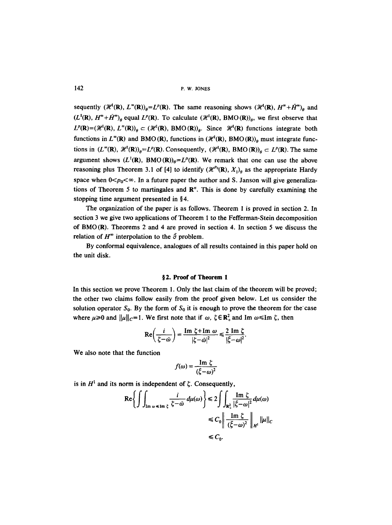142 P.w. JONES

sequently  $({\mathscr{H}}^1(R), L^{\infty}(R))_{\theta} = L^p(R)$ . The same reasoning shows  $({\mathscr{H}}^1(R), H^{\infty} + \tilde{H}^{\infty})_{\theta}$  and  $(L^1(\mathbf{R}), H^* + \bar{H}^*)$ <sub>e</sub> equal  $L^p(\mathbf{R})$ . To calculate  $(\mathcal{H}^1(\mathbf{R}), BMO(\mathbf{R}))_0$ , we first observe that  $L^p(\mathbf{R})=(\mathcal{H}^1(\mathbf{R}), L^{\infty}(\mathbf{R}))_p \subset (\mathcal{H}^1(\mathbf{R}), \text{ BMO}(\mathbf{R}))_p$ . Since  $\mathcal{H}^1(\mathbf{R})$  functions integrate both functions in  $L^{\infty}(\mathbb{R})$  and BMO (R), functions in  $(\mathcal{H}^1(\mathbb{R}), BMO(\mathbb{R}))_0$  must integrate functions in  $(L^{\infty}(\mathbb{R}), \mathcal{H}^1(\mathbb{R}))_{\theta} = L^p(\mathbb{R})$ . Consequently,  $(\mathcal{H}^1(\mathbb{R}), BMO(\mathbb{R}))_{\theta} \subset L^p(\mathbb{R})$ . The same argument shows  $(L^1(\mathbf{R}), \, BMO(\mathbf{R}))_0 = L^p(\mathbf{R})$ . We remark that one can use the above reasoning plus Theorem 3.1 of [4] to identify  $(\mathcal{H}^{p_0}(\mathbf{R}), X_1)_{q}$  as the appropriate Hardy space when  $0 < p_0 < \infty$ . In a future paper the author and S. Janson will give generalizations of Theorem 5 to martingales and  $\mathbb{R}^n$ . This is done by carefully examining the stopping time argument presented in  $§4$ .

The organization of the paper is as follows. Theorem 1 is proved in section 2. In section 3 we give two applications of Theorem 1 to the Fefferman-Stein decomposition of BMO (R). Theorems 2 and 4 are proved in section 4. In section 5 we discuss the relation of  $H^{\infty}$  interpolation to the  $\overline{\partial}$  problem.

By conformal equivalence, analogues of all results contained in this paper hold on the unit disk.

### **w 2. Proof of Theorem 1**

In this section we prove Theorem 1. Only the last claim of the theorem will be proved; the other two claims follow easily from the proof given below. Let us consider the solution operator  $S_0$ . By the form of  $S_0$  it is enough to prove the theorem for the case where  $\mu \ge 0$  and  $\|\mu\|_{C}=1$ . We first note that if w,  $\zeta \in \mathbb{R}^2_+$  and Im  $\omega \le \text{Im } \zeta$ , then

$$
\operatorname{Re}\left(\frac{i}{\zeta-\omega}\right)=\frac{\operatorname{Im}\zeta+\operatorname{Im}\omega}{|\zeta-\omega|^2}\leqslant\frac{2\operatorname{Im}\zeta}{|\zeta-\omega|^2}.
$$

We also note that the function

$$
f(\omega) = \frac{\operatorname{Im} \zeta}{\left(\zeta - \omega\right)^2}
$$

is in  $H<sup>1</sup>$  and its norm is independent of  $\zeta$ . Consequently,

$$
\operatorname{Re}\left\{\int\int_{\operatorname{Im}\omega\leq\operatorname{Im}\zeta}\frac{i}{\zeta-\bar{\omega}}d\mu(\omega)\right\}\leq 2\int\int_{\mathbf{R}_{+}^{2}}\frac{\operatorname{Im}\zeta}{|\xi-\omega|^{2}}d\mu(\omega)
$$

$$
\leq C_{0}\left\|\frac{\operatorname{Im}\zeta}{(\bar{\zeta}-\omega)^{2}}\right\|_{H^{1}}\|\mu\|_{C}
$$

$$
\leq C_{0}.
$$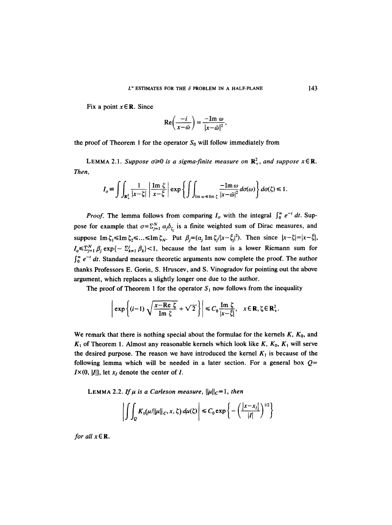Fix a point  $x \in \mathbb{R}$ . Since

$$
\operatorname{Re}\left(\frac{-i}{x-\bar{\omega}}\right)=\frac{-\operatorname{Im}\,\omega}{|x-\bar{\omega}|^2},
$$

the proof of Theorem 1 for the operator  $S_0$  will follow immediately from

LEMMA 2.1. Suppose  $\sigma \ge 0$  is a sigma-finite measure on  $\mathbb{R}^2_+$ , and suppose  $x \in \mathbb{R}$ . *Then,* 

$$
I_{\sigma} \equiv \iiint_{\mathbf{R}_{+}^{2}} \frac{1}{|x-\zeta|} \left| \frac{\operatorname{Im} \zeta}{x-\zeta} \right| \exp \left\{ \iint_{\operatorname{Im} \omega \leq \operatorname{Im} \zeta} \frac{-\operatorname{Im} \omega}{|x-\tilde{\omega}|^{2}} d\sigma(\omega) \right\} d\sigma(\zeta) \leq 1.
$$

*Proof.* The lemma follows from comparing  $I_{\sigma}$  with the integral  $\int_{0}^{\infty} e^{-t} dt$ . Suppose for example that  $\sigma = \sum_{j=1}^{N} \alpha_j \delta_{\zeta_j}$  is a finite weighted sum of Dirac measures, and suppose Im  $\zeta_1 \leq \text{Im } \zeta_2 \leq ... \leq \text{Im } \zeta_N$ . Put  $\beta_i = (\alpha_i \text{Im } \zeta_i / |x - \overline{\zeta}_i|^2)$ . Then since  $|x - \zeta| = |x - \overline{\zeta}|$ ,  $I_{\sigma} \leq I_{j=1}^N \beta_j \exp\{-\sum_{k=1}^j \beta_k\}$  < 1, because the last sum is a lower Riemann sum for  $\int_0^{\infty} e^{-t} dt$ . Standard measure theoretic arguments now complete the proof. The author thanks Professors E. Gorin, S. Hruscev, and S. Vinogradov for pointing out the above argument, which replaces a slightly longer one due to the author.

The proof of Theorem 1 for the operator  $S_1$  now follows from the inequality

$$
\left|\exp\left\{(i-1)\sqrt{\frac{x-\text{Re }\zeta}{\text{Im }\zeta}}+\sqrt{2}\right\}\right|\leqslant C_0\frac{\text{Im }\zeta}{|x-\zeta|},\quad x\in\mathbb{R},\zeta\in\mathbb{R}^2_+.
$$

We remark that there is nothing special about the formulae for the kernels  $K$ ,  $K_0$ , and  $K_1$  of Theorem 1. Almost any reasonable kernels which look like K,  $K_0$ ,  $K_1$  will serve the desired purpose. The reason we have introduced the kernel  $K_1$  is because of the following lemma which will be needed in a later section. For a general box  $Q=$  $I \times (0, |I|)$ , let  $x_I$  denote the center of I.

LEMMA 2.2. If  $\mu$  is a Carleson measure,  $\|\mu\|_{C}=1$ , then

$$
\left| \int \int_{Q} K_{1}(\mu/\|\mu\|_{C}, x, \zeta) d\mu(\zeta) \right| \leq C_{0} \exp \left\{-\left(\frac{|x-x_{l}|}{|I|}\right)^{1/2}\right\}
$$

*for all*  $x \in \mathbb{R}$ *.*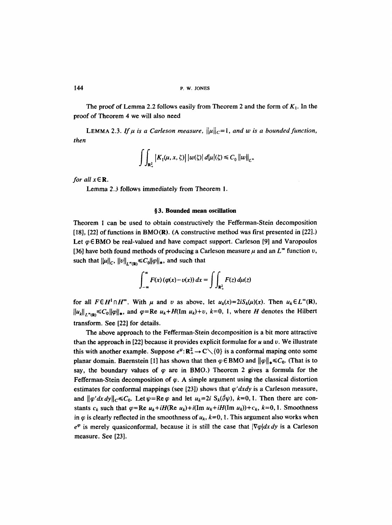The proof of Lemma 2.2 follows easily from Theorem 2 and the form of  $K_1$ . In the proof of Theorem 4 we will also need

LEMMA 2.3. If  $\mu$  is a Carleson measure,  $\|\mu\|_C=1$ , and w is a bounded function, *then* 

$$
\int\int_{\mathbf{R}_+^2} |K_1(\mu, x, \zeta)| \, |w(\zeta)| \, d|\mu|(\zeta) \leq C_0 \, ||w||_{L^{\infty}}
$$

*for all*  $x \in \mathbb{R}$ *.* 

Lemma 2.3 follows immediately from Theorem 1.

### **w 3. Bounded mean oscillation**

Theorem 1 can be used to obtain constructively the Fefferman-Stein decomposition [18], [22] of functions in BMO(R). (A constructive method was first presented in [22].) Let  $\varphi \in BMO$  be real-valued and have compact support. Carleson [9] and Varopoulos [36] have both found methods of producing a Carleson measure  $\mu$  and an  $L^{\infty}$  function v, such that  $||\mu||_C$ ,  $||v||_{L^{\infty}(\mathbb{R})} \leq C_0 ||\varphi||_*$ , and such that

$$
\int_{-\infty}^{\infty} F(x) \left( \varphi(x) - v(x) \right) dx = \int \int_{\mathbf{R}_+^2} F(z) \, d\mu(z)
$$

for all  $F \in H^1 \cap H^{\infty}$ . With  $\mu$  and v as above, let  $u_k(x)=2iS_k(\mu)(x)$ . Then  $u_k \in L^{\infty}(\mathbb{R})$ ,  $\|u_k\|_{L^{\infty}(\mathbb{R})} \leq C_0 \|\varphi\|_{\ast}$ , and  $\varphi = \text{Re } u_k + H(\text{Im } u_k) + v$ ,  $k=0, 1$ , where H denotes the Hilbert transform. See [22] for details.

The above approach to the Fefferman-Stein decomposition is a bit more attractive than the approach in [22] because it provides explicit formulae for  $u$  and  $v$ . We illustrate this with another example. Suppose  $e^{\varphi}$ :  $\mathbb{R}^2_+ \to \mathbb{C} \setminus \{0\}$  is a conformal maping onto some planar domain. Baernstein [1] has shown that then  $\varphi \in BMO$  and  $\|\varphi\|_{*} \leq C_0$ . (That is to say, the boundary values of  $\varphi$  are in BMO.) Theorem 2 gives a formula for the Fefferman-Stein decomposition of  $\varphi$ . A simple argument using the classical distortion estimates for conformal mappings (see [23]) shows that  $\varphi' dx dy$  is a Carleson measure, and  $\|\varphi' dx dy\|_{C} \leq C_0$ . Let  $\psi = \text{Re}\varphi$  and let  $u_k = 2i$   $S_k(\bar{\partial}\psi)$ ,  $k=0, 1$ . Then there are constants  $c_k$  such that  $\varphi = \text{Re } u_k + iH(\text{Re } u_k) + i(\text{Im } u_k + iH(\text{Im } u_k)) + c_k$ ,  $k = 0, 1$ . Smoothness in  $\varphi$  is clearly reflected in the smoothness of  $u_k$ ,  $k=0, 1$ . This argument also works when  $e^{\varphi}$  is merely quasiconformal, because it is still the case that  $|\nabla \varphi| dx dy$  is a Carleson measure. See [23].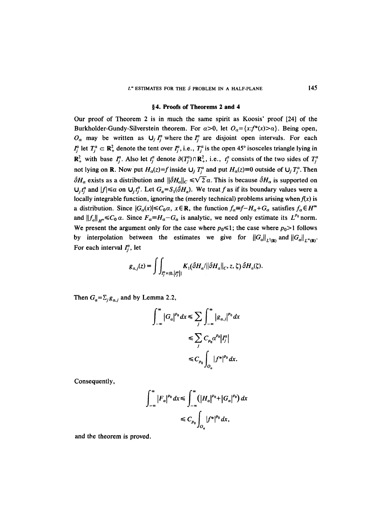#### §4. Proofs of Theorems 2 and 4

Our proof of Theorem 2 is in much the same spirit as Koosis' proof [24] of the Burkholder-Gundy-Silverstein theorem. For  $\alpha > 0$ , let  $O_{\alpha} = \{x : f^*(x) > \alpha\}$ . Being open,  $O_{\alpha}$  may be written as  $U_j I_i^{\alpha}$  where the  $I_i^{\alpha}$  are disjoint open intervals. For each  $I_j^a$  let  $T_j^a \subset \mathbb{R}^2_+$  denote the tent over  $I_j^a$ , i.e.,  $T_j^a$  is the open 45° isosceles triangle lying in  $\mathbb{R}^2_+$  with base  $I^a_i$ . Also let  $t^a_i$  denote  $\partial(T^a_i) \cap \mathbb{R}^2_+$ , i.e.,  $t^a_i$  consists of the two sides of  $T^a_i$ not lying on **R**. Now put  $H_{\alpha}(z)=f$  inside  $\bigcup_j T_i^{\alpha}$  and put  $H_{\alpha}(z)=0$  outside of  $\bigcup_j T_i^{\alpha}$ . Then  $\partial H_{\alpha}$  exists as a distribution and  $\|\partial H_{\alpha}\|_{C} \le \sqrt{2} \alpha$ . This is because  $\partial H_{\alpha}$  is supported on  $U_i t_i^a$  and  $|f| \le \alpha$  on  $U_i t_i^a$ . Let  $G_a = S_i(\overline{\partial} H_a)$ . We treat f as if its boundary values were a locally integrable function, ignoring the (merely technical) problems arising when  $f(x)$  is a distribution. Since  $|G_{\alpha}(x)| \leq C_0 \alpha$ ,  $x \in \mathbb{R}$ , the function  $f_{\alpha} \equiv f - H_{\alpha} + G_{\alpha}$  satisfies  $f_{\alpha} \in H^{\infty}$ and  $||f_a||_{H^{\infty}} \leq C_0 \alpha$ . Since  $F_a \equiv H_a - G_a$  is analytic, we need only estimate its  $L^{p_0}$  norm. We present the argument only for the case where  $p_0 \le 1$ ; the case where  $p_0 > 1$  follows by interpolation between the estimates we give for  $||G_a||_{L^1(\mathbf{R})}$  and  $||G_a||_{L^{\infty}(\mathbf{R})}$ . For each interval  $I_i^{\alpha}$ , let

$$
g_{\alpha,j}(z) = \int\int_{I_j^a \times (0, |I_j^a|)} K_1(\bar{\partial} H_\alpha/\|\bar{\partial} H_\alpha\|_C, z, \zeta) \,\bar{\partial} H_\alpha(\zeta).
$$

Then  $G_a = \sum_i g_{a,i}$  and by Lemma 2.2,

$$
\int_{-\infty}^{\infty} |G_{\alpha}|^{p_0} dx \leq \sum_{j} \int_{-\infty}^{\infty} |g_{\alpha,j}|^{p_0} dx
$$
  
\n
$$
\leq \sum_{j} C_{p_0} \alpha^{p_0} |I_j^{\alpha}|
$$
  
\n
$$
\leq C_{p_0} \int_{O_{\alpha}} |f^*|^{p_0} dx.
$$

Consequently,

$$
\int_{-\infty}^{\infty} |F_a|^{p_0} dx \le \int_{-\infty}^{\infty} (|H_a|^{p_0} + |G_a|^{p_0}) dx
$$
  

$$
\le C_{p_0} \int_{O_a} |f^*|^{p_0} dx,
$$

and the theorem is proved.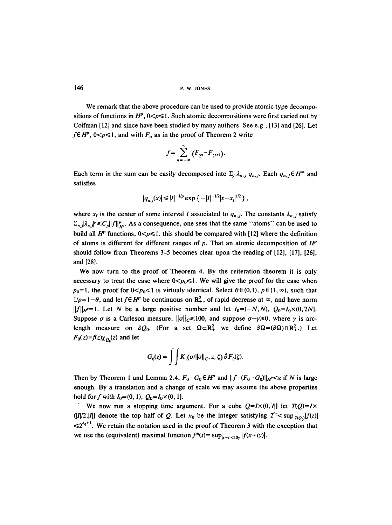146 P.W. JONES

We remark that the above procedure can be used to provide atomic type decompositions of functions in  $H^p$ ,  $0 < p \le 1$ . Such atomic decompositions were first caried out by Coifman [12] and since have been studied by many authors. See e.g., [13] and [26]. Let  $f \in H^p$ ,  $0 < p \le 1$ , and with  $F_a$  as in the proof of Theorem 2 write

$$
f=\sum_{n=-\infty}^{\infty}(F_{2^{n}}-F_{2^{n+1}}).
$$

Each term in the sum can be easily decomposed into  $\Sigma_i \lambda_{n,i} q_{n,i}$ . Each  $q_{n,j} \in H^{\infty}$  and satisfies

$$
|q_{n,j}(x)| \leq |I|^{-1/p} \exp \{-|I|^{-1/2}|x-x_I|^{1/2}\},\,
$$

where  $x_i$  is the center of some interval I associated to  $q_{n,j}$ . The constants  $\lambda_{n,j}$  satisfy  $\sum_{n,j} |\lambda_{n,j}|^p \leq C_p ||f||_{H^p}^p$ . As a consequence, one sees that the same "atoms" can be used to build all  $H^p$  functions,  $0 < p \le 1$ . this should be compared with [12] where the definition of atoms is different for different ranges of p. That an atomic decomposition of  $H^p$ should follow from Theorems 3-5 becomes clear upon the reading of [12], [17], [26], and [28].

We now turn to the proof of Theorem 4. By the reiteration theorem it is only necessary to treat the case where  $0 \le p_0 \le 1$ . We will give the proof for the case when  $p_0=1$ , the proof for  $0 is virtualy identical. Select  $\theta \in (0,1)$ ,  $p \in (1,\infty)$ , such that$  $1/p=1-\theta$ , and let  $f \in H^p$  be continuous on  $\mathbb{R}^2_+$ , of rapid decrease at  $\infty$ , and have norm  $||f||_{H^2}=1$ . Let N be a large positive number and let  $I_0=(-N,N)$ ,  $Q_0=I_0\times(0,2N)$ . Suppose  $\sigma$  is a Carleson measure,  $||\sigma||_C \le 100$ , and suppose  $\sigma - \gamma \ge 0$ , where  $\gamma$  is arclength measure on  $\partial Q_0$ . (For a set  $\Omega \subset \mathbb{R}^2$  we define  $\partial \Omega = (\partial \Omega) \cap \mathbb{R}^2$ .) Let  $F_0(z)=f(z)\chi_{Q_0}(z)$  and let

$$
G_0(z) = \iint K_1(\sigma/\|\sigma\|_C, z, \zeta) \,\bar{\partial} F_0(\zeta).
$$

Then by Theorem 1 and Lemma 2.4,  $F_0 - G_0 \in H^p$  and  $||f-(F_0-G_0)||_{H^p} \le \epsilon$  if N is large enough. By a translation and a change of scale we may assume the above properties hold for f with  $I_0=(0, 1)$ ,  $Q_0=I_0\times(0, 1]$ .

We now run a stopping time argument. For a cube  $Q=I\times(0,|I|)$  let  $T(Q)=I\times$  $(|I|/2,|I|]$  denote the top half of Q. Let  $n_0$  be the integer satisfying  $2^{n_0} < \sup_{I(Q_0)} |f(z)|$  $\leq 2^{n_0+1}$ . We retain the notation used in the proof of Theorem 3 with the exception that we use the (equivalent) maximal function  $f^*(t) = \sup_{|x-t| < 10y} |f(x+iy)|$ .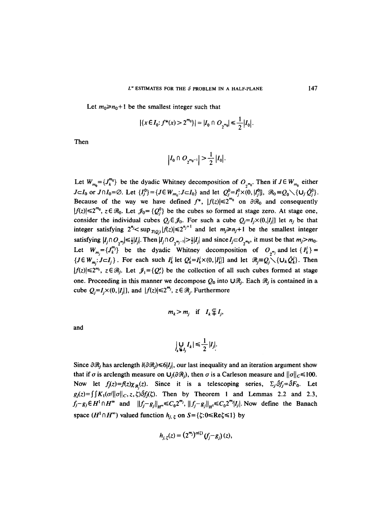Let  $m_0 \ge n_0 + 1$  be the smallest integer such that

$$
|\{x \in I_0: f^*(x) > 2^{m_0}\}| = |I_0 \cap O_{2^{m_0}}| \le \frac{1}{2} |I_0|.
$$

Then

$$
\left|I_0 \cap O_{2^{m_0-1}}\right| > \frac{1}{2} \left|I_0\right|.
$$

Let  $W_{m_0} = \{J_k^{m_0}\}\)$  be the dyadic Whitney decomposition of  $O_{m_0}$ . Then if  $J \in W_{m_0}$  either *J* $\subset$ *I*<sub>0</sub> or *J* $\cap$ *I*<sub>0</sub>= $\varnothing$ . Let  $\{I_j^0\} = \{J \in W_{m_0}: J \subset I_0\}$  and let  $Q_j^0 = I_j^0 \times (0, |I_j^0|)$ ,  $\mathcal{R}_0 \equiv Q_0 \setminus \{U_j \bar{Q}_j^0\}$ . Because of the way we have defined  $f^*$ ,  $|f(z)| \leq 2^{m_0}$  on  $\partial \mathcal{R}_0$  and consequently  $|f(z)| \le 2^{m_0}$ ,  $z \in \mathcal{R}_0$ . Let  $\mathcal{J}_0 = \{Q_i^0\}$  be the cubes so formed at stage zero. At stage one, consider the individual cubes  $Q_j \in \mathcal{J}_0$ . For such a cube  $Q_j = I_j \times (0, |I_j|)$  let  $n_j$  be that integer satisfying  $2^{n_j} < \sup_{T(Q_i)} |f(z)| \leq 2^{n_j+1}$  and let  $m_j \geq n_j+1$  be the smallest integer satisfying  $|I_j \cap O_{\gamma^m}|\leq \frac{1}{2}|I_j|$ . Then  $|I_j \cap O_{\gamma^{m_j-1}}| > \frac{1}{2}|I_j|$  and since  $I_j \subset O_{\gamma^{m_0}}$ , it must be that  $m_j > m_0$ . Let  $W_{m} = \{J_k^{m_j}\}\$  be the dyadic Whitney decomposition of  $O_{\gamma_{m_j}}$  and let  $\{I_k^j\}$  =  $\{J \in W_{m_i}: J \subset I_j\}$ . For each such  $I'_k$  let  $Q'_k = I'_k \times (0, |I'_k|)$  and let  $\mathcal{R}_j = Q_j \setminus \{U_k \tilde{Q}'_k\}$ . Then  $|f(z)| \le 2^{m_j}$ ,  $z \in \mathcal{R}_j$ . Let  $\mathcal{J}_1 = \{Q_i^s\}$  be the collection of all such cubes formed at stage one. Proceeding in this manner we decompose  $Q_0$  into  $\bigcup \mathcal{R}_j$ . Each  $\mathcal{R}_j$  is contained in a cube  $Q_i = I_i \times (0, |I_i|)$ , and  $|f(z)| \leq 2^{m_j}$ ,  $z \in \mathcal{R}_i$ . Furthermore

$$
m_k > m_j
$$
 if  $I_k \subsetneq I_j$ ,

and

$$
\bigcup_{k \in I_j} I_k \big| \leq \frac{1}{2} |I_j|.
$$

Since  $\partial \mathcal{R}_j$  has arclength  $l(\partial \mathcal{R}_j) \leq \delta |I_j|$ , our last inequality and an iteration argument show that if  $\sigma$  is arclength measure on  $U_j(\partial \mathcal{R}_j)$ , then  $\sigma$  is a Carleson measure and  $||\sigma||_C \le 100$ . Now let  $f_i(z)=f(z)\chi_{\mathcal{R}}(z)$ . Since it is a telescoping series,  $\Sigma_j \overline{\partial} f_j = \overline{\partial} F_0$ . Let  $g_1(z)=\int \int K_1(\sigma/\|\sigma\|_C, z, \zeta) \delta f_1(\zeta)$ . Then by Theorem 1 and Lemmas 2.2 and 2.3,  $f_j-g_j\in H^1\cap H^\infty$  and  $||f_j-g_j||_{H^\infty}\leq C_02^{m_j}$ ,  $||f_j-g_j||_{H^1}\leq C_02^{m_j}|J_j|$ . Now define the Banach space  $(H^1 \cap H^{\infty})$  valued function  $h_{i,\zeta}$  on  $S = \{\zeta : 0 \leq Re \zeta \leq 1\}$  by

$$
h_{j,\zeta}(z) = (2^{m_j})^{\alpha(\zeta)}(f_j - g_j)(z),
$$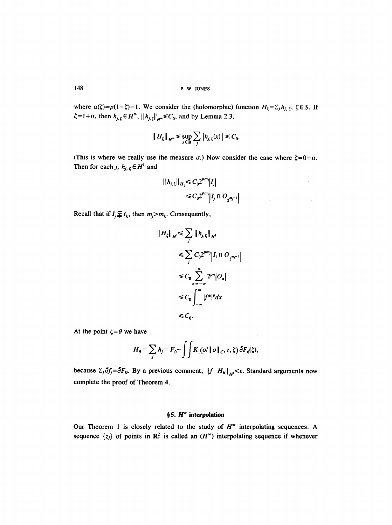148 p.W. JONES

where  $\alpha(\zeta)=p(1-\zeta)-1$ . We consider the (holomorphic) function  $H_{\zeta} = \sum_j h_{j,\zeta}$ ,  $\zeta \in S$ . If  $\zeta = 1 + it$ , then  $h_{j,\zeta} \in H^{\infty}$ ,  $||h_{j,\zeta}||_{H^{\infty}} \leq C_0$ , and by Lemma 2.3,

$$
|| H_\zeta ||_{H^*} \leq \sup_{x \in \mathbf{R}} \sum_j |h_{j,\,\zeta}(x)| \leq C_0.
$$

(This is where we really use the measure  $\sigma$ .) Now consider the case where  $\zeta = 0 + it$ . Then for each j,  $h_{j, \zeta} \in H^1$  and

$$
|| h_{j, \zeta} ||_{H_1} \leq C_0 2^{pm_j} |I_j|
$$
  
 
$$
\leq C_0 2^{pm_j} |I_j \cap O_{2^{m_j-1}}|
$$

 $\sim$   $\sim$ 

Recall that if  $I_j \not\subseteq I_k$ , then  $m_j > m_k$ . Consequently,

$$
||H_{\xi}||_{H^{1}} \leq \sum_{j} ||h_{j,\xi}||_{H^{1}}
$$
  
\n
$$
\leq \sum_{j} C_{0} 2^{pn_{j}} |I_{j} \cap O_{2^{n_{j}-1}}
$$
  
\n
$$
\leq C_{0} \sum_{n=-\infty}^{\infty} 2^{pn} |O_{n}|
$$
  
\n
$$
\leq C_{0} \int_{-\infty}^{\infty} |f^{*}|^{p} dx
$$
  
\n
$$
\leq C_{0}.
$$

At the point  $\zeta = \theta$  we have

$$
H_{\theta} = \sum_j h_j = F_0 - \int \int K_1(\sigma/\|\sigma\|_C, z, \zeta) \,\tilde{\partial} F_0(\zeta),
$$

 $\bar{\gamma}$ 

because  $\Sigma_j \bar{\partial} f_j = \bar{\partial} F_0$ . By a previous comment,  $||f - H_{\theta}||_{H^p} < \varepsilon$ . Standard arguments now complete the proof of Theorem 4.

# §5.  $H^{\infty}$  interpolation

Our Theorem 1 is closely related to the study of  $H^*$  interpolating sequences. A sequence  $\{z_j\}$  of points in  $\mathbb{R}^2$  is called an  $(H^{\infty})$  interpolating sequence if whenever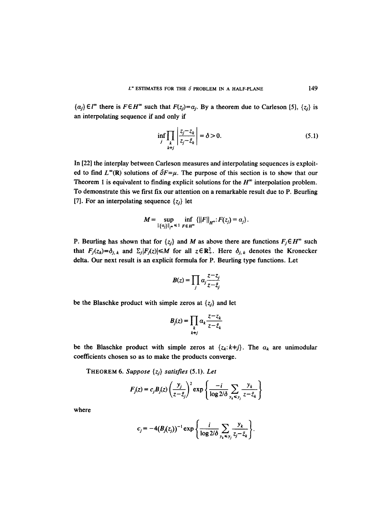${a_j} \in l^{\infty}$  there is  $F \in H^{\infty}$  such that  $F(z_j) = a_j$ . By a theorem due to Carleson [5],  ${z_j}$  is an interpolating sequence if and only if

$$
\inf_{j} \prod_{\substack{k \\ k \neq j}} \left| \frac{z_j - z_k}{z_j - \bar{z}_k} \right| = \delta > 0. \tag{5.1}
$$

In [22] the interplay between Carleson measures and interpolating sequences is exploited to find  $L^{\infty}(\mathbb{R})$  solutions of  $\overline{\partial}F=\mu$ . The purpose of this section is to show that our Theorem 1 is equivalent to finding explicit solutions for the  $H^{\infty}$  interpolation problem. To demonstrate this we first fix our attention on a remarkable result due to P. Beurling [7]. For an interpolating sequence  $\{z_i\}$  let

$$
M=\sup_{\|\{a_j\}\|_{\ell^{\infty}}\leq 1}\inf_{F\in H^{\infty}}\{\|F\|_{H^{\infty}}: F(z_j)=\alpha_j\}.
$$

P. Beurling has shown that for  $\{z_j\}$  and M as above there are functions  $F_j \in H^\infty$  such that  $F_j(z_k)=\delta_{j,k}$  and  $\Sigma_j|F_j(z)| \le M$  for all  $z \in \mathbb{R}^2_+$ . Here  $\delta_{j,k}$  denotes the Kronecker delta. Our next result is an explicit formula for P. Beurling type functions. Let

$$
B(z) = \prod_j \alpha_j \frac{z - z_j}{z - \bar{z}_j}
$$

be the Blaschke product with simple zeros at  $\{z_j\}$  and let

$$
B_j(z) = \prod_k \alpha_k \frac{z - z_k}{z - \bar{z}_k}
$$

be the Blaschke product with simple zeros at  $\{z_k: k\neq j\}$ . The  $a_k$  are unimodular coefficients chosen so as to make the products converge.

THEOREM 6. *Suppose {zj} satisfies* (5.1). *Let* 

$$
F_j(z) = c_j B_j(z) \left(\frac{y_j}{z - \bar{z}_j}\right)^2 \exp\left\{\frac{-i}{\log 2/\delta} \sum_{y_k \le y_j} \frac{y_k}{z - \bar{z}_k}\right\}
$$

where

$$
c_j = -4(B_j(z_j))^{-1} \exp \left\{ \frac{i}{\log 2/\delta} \sum_{y_k \leq y_j} \frac{y_k}{z_j - \bar{z}_k} \right\}.
$$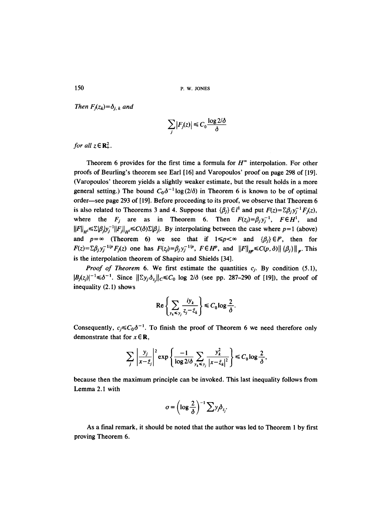150 P.w. JONES

*Then*  $F_i(z_k)=\delta_{i,k}$  *and* 

$$
\sum_j |F_j(z)| \leq C_0 \frac{\log 2/\delta}{\delta}
$$

*for all*  $z \in \mathbb{R}^2$ .

Theorem 6 provides for the first time a formula for  $H^{\infty}$  interpolation. For other proofs of Beurling's theorem see Earl [16] and Varopoulos' proof on page 298 of [19]. (Varopoulos' theorem yields a slightly weaker estimate, but the result holds in a more general setting.) The bound  $C_0\delta^{-1}\log(2/\delta)$  in Theorem 6 is known to be of optimal order—see page 293 of [19]. Before proceeding to its proof, we observe that Theorem 6 is also related to Theorems 3 and 4. Suppose that  $\{\beta_i\} \in l^1$  and put  $F(z) = \sum \beta_i y_i^{-1} F_i(z)$ , where the  $F_j$  are as in Theorem 6. Then  $F(z_j) = \beta_j y_j^{-1}$ ,  $F \in H^1$ , and  $||F||_{H} \le \sum |\beta_i| y_i^{-1} ||F_i||_{H} \le C(\delta) \sum |\beta_i|$ . By interpolating between the case where  $p=1$  (above) and  $p=\infty$  (Theorem 6) we see that if  $1 \leq p < \infty$  and  $\{\beta_i\} \in \mathbb{P}$ , then for  $F(z)=\sum \beta_j y_j^{-1/p}F_j(z)$  one has  $F(z_j)=\beta_j y_j^{-1/p}$ ,  $F\in H^p$ , and  $||F||_{H^p}\leq C(p,\delta)||\{\beta_j\}||_p$ . This is the interpolation theorem of Shapiro and Shields [34].

*Proof of Theorem 6.* We first estimate the quantities  $c_i$ . By condition (5.1),  $|B_j(z_j)|^{-1} \le \delta^{-1}$ . Since  $||\Sigma y_j \delta_z||_C \le C_0$  log  $2/\delta$  (see pp. 287-290 of [19]), the proof of inequality (2.1) shows

$$
\operatorname{Re}\left\{\sum_{y_k\leq y_j}\frac{iy_k}{z_j-\bar{z}_k}\right\}\leq C_0\log\frac{2}{\delta}.
$$

Consequently,  $c_j \leq C_0 \delta^{-1}$ . To finish the proof of Theorem 6 we need therefore only demonstrate that for  $x \in \mathbb{R}$ ,

$$
\sum_{j} \left| \frac{y_{j}}{x - \bar{z}_{j}} \right|^{2} \exp \left\{ \frac{-1}{\log 2/\delta} \sum_{y_{k} \leq y_{j}} \frac{y_{k}^{2}}{|x - \bar{z}_{k}|^{2}} \right\} \leq C_{0} \log \frac{2}{\delta},
$$

because then the maximum principle can be invoked. This last inequality follows from Lemma 2.1 with

$$
\sigma = \left(\log \frac{2}{\delta}\right)^{-1} \sum y_j \delta_{z_j}.
$$

As a final remark, it should be noted that the author was led to Theorem 1 by first proving Theorem 6.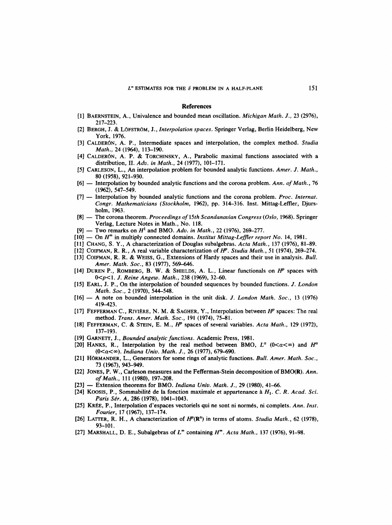#### **References**

- [1] BAERNSTEIN, A., Univalence and bounded mean oscillation. *Michigan Math. J.,* 23 (2976), 217-223.
- [2] BERGH, J. & LOFSTROM, J., *Interpolation spaces.* Springer Verlag, Berlin Heidelberg, New York, 1976.
- [3] CALDERON, A. P., Intermediate spaces and interpolation, the complex method. *Studia Math.,* 24 (1964), 113-190.
- [4] CALDERÓN, A. P. & TORCHINSKY, A., Parabolic maximal functions associated with a distribution, II. *Adv. in Math.,* 24 (1977), 101-171.
- [51 CARLESON, L., An interpolation problem for bounded analytic functions. *Amer. J. Math.,*  80 (1958), 921-930.
- [6] -- Interpolation by bounded analytic functions and the corona problem. *Ann. of Math.,* 76 (1962), 547-549.
- [7] -- Interpolation by bounded analytic functions and the corona problem. *Proc. Internat. Congr. Mathematicians (Stockholm,* 1962), pp. 314-316. Inst. Mittag-Leffler, Djursholm, 1963.
- [8] The corona theorem. *Proceedings of 15th Scandanavian Congress (Oslo, 1968)*. Springer Verlag, Lecture Notes in Math., No. 118.
- $[9]$  -- Two remarks on  $H^1$  and BMO. Adv. in Math., 22 (1976), 269-277.
- [10] On  $H^{\infty}$  in multiply connected domains. *Institut Mittag-Leffler report No.* 14, 1981.
- [11] CHANG, S. Y., A characterization of Douglas subalgebras. *Acta Math.,* 137 (1976), 81-89.
- [12] COIFMAN, R. R., A real variable characterization of  $H^p$ . *Studia Math.*, 51 (1974), 269-274.
- [13] COIFMAN, R. R. & WEISS, G., Extensions of Hardy spaces and their use in analysis. *Bull.*  Amer. Math. Soc., 83 (1977), 569-646.
- [14] DUREN P., ROMBERG, B. W. & SHIELDS, A. L., Linear functionals on  $H^p$  spaces with 0<p<1. *J. Reine Angew. Math.,* 238 (1969), 32–60.
- [15] EARL, J. P., On the interpolation of bounded sequences by bounded functions. *J. London Math, Soc.,* 2 (1970), 544-548.
- [16] -- A note on bounded interpolation in the unit disk. *J. London Math. Soc.,* 13 (1976) 419-423.
- [17] FEFFERMAN C., RIVIÈRE, N. M. & SAGHER, Y., Interpolation between  $H^p$  spaces: The real method. *Trans. Amer. Math. Soc.,* 191 (1974), 75-81.
- [18] FEFFERMAN, C. & STEIN, E. M., H<sup>p</sup> spaces of several variables. Acta Math., 129 (1972), 137-193.
- [19] GARNETT, J., *Bounded analytic functions.* Academic Press, 1981.
- [20] HANKS, R., Interpolation by the real method between BMO,  $L^{\alpha}$  (0< $\alpha < \infty$ ) and  $H^{\alpha}$ (0<a<oo). *Indiana Univ. Math. J.,* 26 (1977), 679--690.
- [21] HORMANDER, L., Generators for some rings of analytic functions. *Bull. Amer. Math. Soc.,*  73 (1967), 943-949.
- [22] JONES, P. W., Carleson measures and the Fefferman-Stein decomposition of BMO(R). *Ann. of Math.,* 111 (1980), 197-208.
- [23] -- Extension theorems for BMO. *Indiana Univ. Math. J.,* 29 (1980), 41-66.
- [24] KOOSIS, P., Sommabilité de la fonction maximale et appartenance à  $H_1$ . C. R. Acad. Sci. *Paris Sér. A, 286 (1978), 1041-1043.*
- [25] KRÉE, P., Interpolation d'espaces vectoriels qui ne sont ni normés, ni complets. *Ann. Inst. Fourier,* 17 (1967), 137-174.
- [26] LATTER, R. H., A characterization of  $H^p(\mathbb{R}^n)$  in terms of atoms. *Studia Math.*, 62 (1978), 93-101.
- [27] MARSHALL, D. E., Subalgebras of  $L^{\infty}$  containing  $H^{\infty}$ . Acta Math., 137 (1976), 91–98.